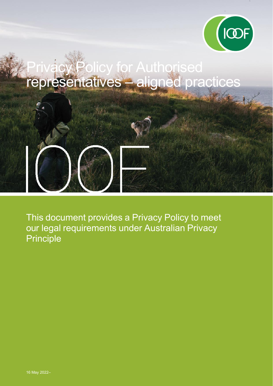

# or Authorised representatives – aligned practices

This document provides a Privacy Policy to meet our legal requirements under Australian Privacy Principle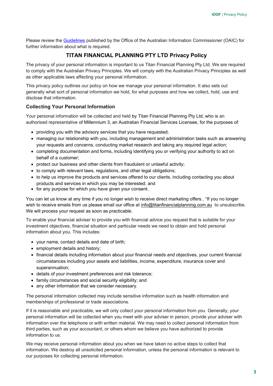Please review the [Guidelines](https://www.oaic.gov.au/privacy/australian-privacy-principles-guidelines/chapter-1-app-1-open-and-transparent-management-of-personal-information) published by the Office of the Australian Information Commissioner (OAIC) for further information about what is required.

## **TITAN FINANCIAL PLANNING PTY LTD Privacy Policy**

The privacy of your personal information is important to us Titan Financial Planning Pty Ltd. We are required to comply with the Australian Privacy Principles. We will comply with the Australian Privacy Principles as well as other applicable laws affecting your personal information.

This privacy policy outlines our policy on how we manage your personal information. It also sets out generally what sort of personal information we hold, for what purposes and how we collect, hold, use and disclose that information.

### **Collecting Your Personal Information**

Your personal information will be collected and held by Titan Financial Planning Pty Ltd, who is an authorised representative of Millennium 3, an Australian Financial Services Licensee, for the purposes of:

- providing you with the advisory services that you have requested;
- managing our relationship with you, including management and administration tasks such as answering your requests and concerns, conducting market research and taking any required legal action;
- completing documentation and forms, including identifying you or verifying your authority to act on behalf of a customer;
- protect our business and other clients from fraudulent or unlawful activity;
- to comply with relevant laws, regulations, and other legal obligations;
- to help us improve the products and services offered to our clients, including contacting you about products and services in which you may be interested; and
- for any purpose for which you have given your consent.

You can let us know at any time if you no longer wish to receive direct marketing offers.. "If you no longer wish to receive emails from us please email our office at [info@titanfinancialplanning.com.au](mailto:info@titanfinancialplanning.com.au) to unsubscribe. We will process your request as soon as practicable.

To enable your financial adviser to provide you with financial advice you request that is suitable for your investment objectives, financial situation and particular needs we need to obtain and hold personal information about you. This includes:

- your name, contact details and date of birth;
- employment details and history;
- financial details including information about your financial needs and objectives, your current financial circumstances including your assets and liabilities, income, expenditure, insurance cover and superannuation;
- details of your investment preferences and risk tolerance;
- family circumstances and social security eligibility; and
- any other information that we consider necessary.

The personal information collected may include sensitive information such as health information and memberships of professional or trade associations.

If it is reasonable and practicable, we will only collect your personal information from you. Generally, your personal information will be collected when you meet with your adviser in person, provide your adviser with information over the telephone or with written material. We may need to collect personal information from third parties, such as your accountant, or others whom we believe you have authorized to provide information to us.

We may receive personal information about you when we have taken no active steps to collect that information. We destroy all unsolicited personal information, unless the personal information is relevant to our purposes for collecting personal information.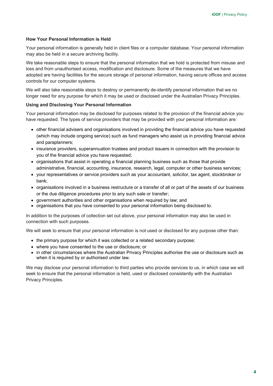#### **How Your Personal Information is Held**

Your personal information is generally held in client files or a computer database. Your personal information may also be held in a secure archiving facility.

We take reasonable steps to ensure that the personal information that we hold is protected from misuse and loss and from unauthorised access, modification and disclosure. Some of the measures that we have adopted are having facilities for the secure storage of personal information, having secure offices and access controls for our computer systems.

We will also take reasonable steps to destroy or permanently de-identify personal information that we no longer need for any purpose for which it may be used or disclosed under the Australian Privacy Principles.

#### **Using and Disclosing Your Personal Information**

Your personal information may be disclosed for purposes related to the provision of the financial advice you have requested. The types of service providers that may be provided with your personal information are:

- other financial advisers and organisations involved in providing the financial advice you have requested (which may include ongoing service) such as fund managers who assist us in providing financial advice and paraplanners;
- insurance providers, superannuation trustees and product issuers in connection with the provision to you of the financial advice you have requested;
- organisations that assist in operating a financial planning business such as those that provide administrative, financial, accounting, insurance, research, legal, computer or other business services;
- vour representatives or service providers such as your accountant, solicitor, tax agent, stockbroker or bank;
- organisations involved in a business restructure or a transfer of all or part of the assets of our business or the due diligence procedures prior to any such sale or transfer;
- government authorities and other organisations when required by law; and
- organisations that you have consented to your personal information being disclosed to.

In addition to the purposes of collection set out above, your personal information may also be used in connection with such purposes.

We will seek to ensure that your personal information is not used or disclosed for any purpose other than:

- the primary purpose for which it was collected or a related secondary purpose;
- where you have consented to the use or disclosure; or
- in other circumstances where the Australian Privacy Principles authorise the use or disclosure such as when it is required by or authorised under law.

We may disclose your personal information to third parties who provide services to us, in which case we will seek to ensure that the personal information is held, used or disclosed consistently with the Australian Privacy Principles.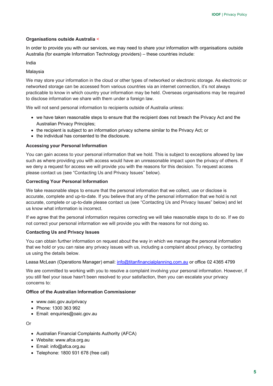#### **Organisations outside Australia** <

In order to provide you with our services, we may need to share your information with organisations outside Australia (for example Information Technology providers) – these countries include:

#### India

#### Malaysia

We may store your information in the cloud or other types of networked or electronic storage. As electronic or networked storage can be accessed from various countries via an internet connection, it's not always practicable to know in which country your information may be held. Overseas organisations may be required to disclose information we share with them under a foreign law.

We will not send personal information to recipients outside of Australia unless:

- we have taken reasonable steps to ensure that the recipient does not breach the Privacy Act and the Australian Privacy Principles;
- the recipient is subject to an information privacy scheme similar to the Privacy Act; or
- the individual has consented to the disclosure.

#### **Accessing your Personal Information**

You can gain access to your personal information that we hold. This is subject to exceptions allowed by law such as where providing you with access would have an unreasonable impact upon the privacy of others. If we deny a request for access we will provide you with the reasons for this decision. To request access please contact us (see "Contacting Us and Privacy Issues" below).

#### **Correcting Your Personal Information**

We take reasonable steps to ensure that the personal information that we collect, use or disclose is accurate, complete and up-to-date. If you believe that any of the personal information that we hold is not accurate, complete or up-to-date please contact us (see "Contacting Us and Privacy Issues" below) and let us know what information is incorrect.

If we agree that the personal information requires correcting we will take reasonable steps to do so. If we do not correct your personal information we will provide you with the reasons for not doing so.

#### **Contacting Us and Privacy Issues**

You can obtain further information on request about the way in which we manage the personal information that we hold or you can raise any privacy issues with us, including a complaint about privacy, by contacting us using the details below.

Leasa McLean (Operations Manager) email: [info@titanfinancialplanning.com.au](mailto:info@titanfinancialplanning.com.au) or office 02 4365 4799

We are committed to working with you to resolve a complaint involving your personal information. However, if you still feel your issue hasn't been resolved to your satisfaction, then you can escalate your privacy concerns to:

#### **Office of the Australian Information Commissioner**

- www.oaic.gov.au/privacy
- Phone: 1300 363 992
- Email: enquiries@oaic.gov.au

Or

- Australian Financial Complaints Authority (AFCA)
- Website: www.afca.org.au
- Email: info@afca.org.au
- Telephone: 1800 931 678 (free call)